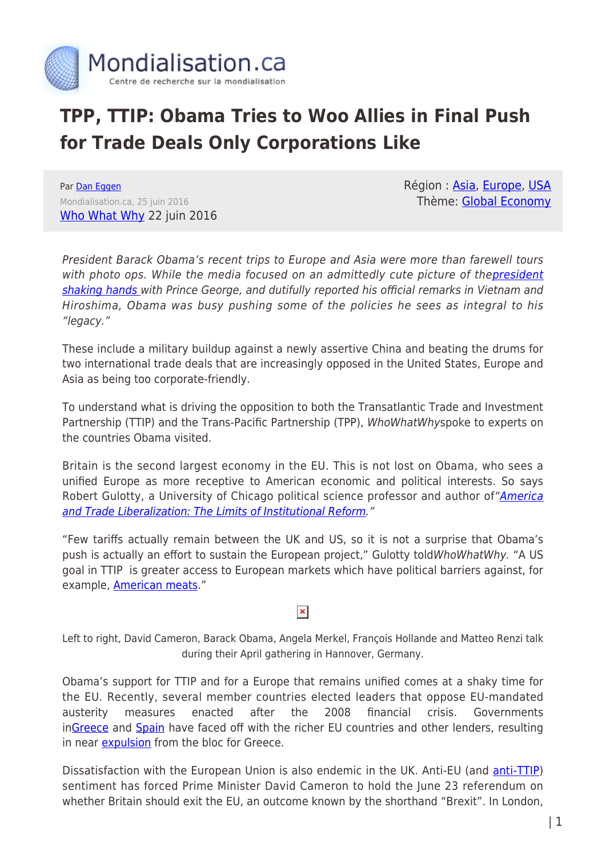

# **TPP, TTIP: Obama Tries to Woo Allies in Final Push for Trade Deals Only Corporations Like**

Par [Dan Eggen](https://www.mondialisation.ca/author/dan-eggen) Mondialisation.ca, 25 juin 2016 [Who What Why](https://www.google.com/url?hl=en&q=http://whowhatwhy.org/2016/06/22/obama-tries-woo-allies-final-push-trade-deals-corporations-like/&source=gmail&ust=1466730020950000&usg=AFQjCNH22XRg9DJ3vWytQqOZSKIYocF9jA) 22 juin 2016 Région : [Asia](https://www.mondialisation.ca/region/asia), [Europe,](https://www.mondialisation.ca/region/europe) [USA](https://www.mondialisation.ca/region/usa) Thème: [Global Economy](https://www.mondialisation.ca/theme/global-economy)

President Barack Obama's recent trips to Europe and Asia were more than farewell tours with photo ops. While the media focused on an admittedly cute picture of the[president](https://www.youtube.com/watch?v=9MTZXAb5REw) [shaking hands](https://www.youtube.com/watch?v=9MTZXAb5REw) with Prince George, and dutifully reported his official remarks in Vietnam and Hiroshima, Obama was busy pushing some of the policies he sees as integral to his "legacy."

These include a military buildup against a newly assertive China and beating the drums for two international trade deals that are increasingly opposed in the United States, Europe and Asia as being too corporate-friendly.

To understand what is driving the opposition to both the Transatlantic Trade and Investment Partnership (TTIP) and the Trans-Pacific Partnership (TPP), WhoWhatWhyspoke to experts on the countries Obama visited.

Britain is the second largest economy in the EU. This is not lost on Obama, who sees a unified Europe as more receptive to American economic and political interests. So says Robert Gulotty, a University of Chicago political science professor and author of ["America](http://journals.cambridge.org/action/displayAbstract?fromPage=online&aid=9242621&fileId=S0020818313000490) [and Trade Liberalization: The Limits of Institutional Reform.](http://journals.cambridge.org/action/displayAbstract?fromPage=online&aid=9242621&fileId=S0020818313000490)"

"Few tariffs actually remain between the UK and US, so it is not a surprise that Obama's push is actually an effort to sustain the European project," Gulotty toldWhoWhatWhy. "A US goal in TTIP is greater access to European markets which have political barriers against, for example, [American meats](https://www.fas.org/sgp/crs/row/R40449.pdf)."

## $\pmb{\times}$

Left to right, David Cameron, Barack Obama, Angela Merkel, François Hollande and Matteo Renzi talk during their April gathering in Hannover, Germany.

Obama's support for TTIP and for a Europe that remains unified comes at a shaky time for the EU. Recently, several member countries elected leaders that oppose EU-mandated austerity measures enacted after the 2008 financial crisis. Governments i[nGreece](http://www.bbc.com/news/world-europe-30975437) and [Spain](http://blogs.spectator.co.uk/2015/12/spain-has-rejected-austerity-so-what-does-it-do-now/) have faced off with the richer EU countries and other lenders, resulting in near [expulsion](http://www.forbes.com/sites/timworstall/2015/03/14/if-greece-leaves-the-euro-then-spain-italy-and-germany-would-follow/#312d58632018) from the bloc for Greece.

Dissatisfaction with the European Union is also endemic in the UK. Anti-EU (and *anti-TTIP)* sentiment has forced Prime Minister David Cameron to hold the June 23 referendum on whether Britain should exit the EU, an outcome known by the shorthand "Brexit". In London,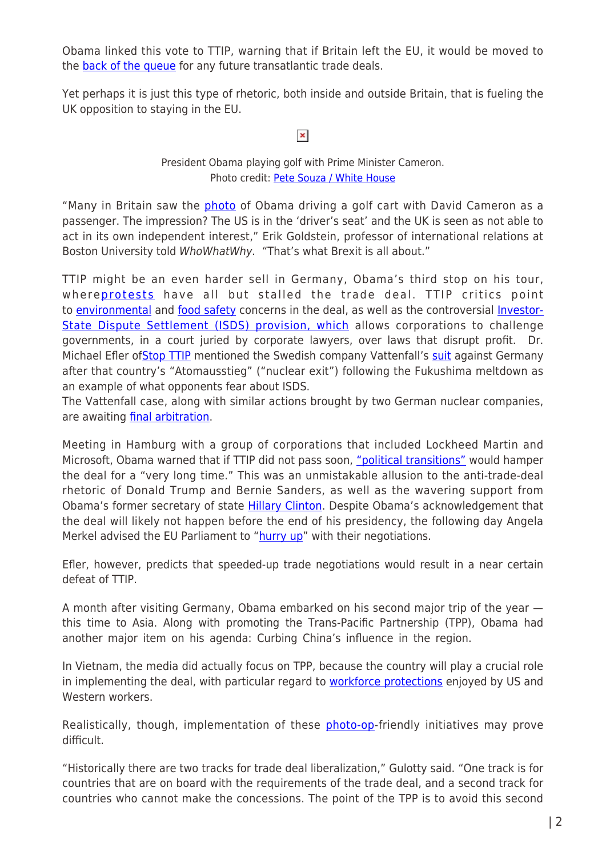Obama linked this vote to TTIP, warning that if Britain left the EU, it would be moved to the **back of the queue** for any future transatlantic trade deals.

Yet perhaps it is just this type of rhetoric, both inside and outside Britain, that is fueling the UK opposition to staying in the EU.

 $\pmb{\times}$ 

#### President Obama playing golf with Prime Minister Cameron. Photo credit: [Pete Souza / White House](http://go.wh.gov/behind-the-lens)

"Many in Britain saw the *[photo](http://cdn.thefiscaltimes.com/sites/default/files/styles/article_hero_image/public/reuters/usa-obama-britain_3.jpg?itok=QS8EAXwC)* of Obama driving a golf cart with David Cameron as a passenger. The impression? The US is in the 'driver's seat' and the UK is seen as not able to act in its own independent interest," Erik Goldstein, professor of international relations at Boston University told WhoWhatWhy. "That's what Brexit is all about."

TTIP might be an even harder sell in Germany, Obama's third stop on his tour, where[protests](http://www.dailymail.co.uk/news/article-3556224/President-Obama-arrives-Germany-fierce-protests-visit-promote-Europe-trade-deal.html) have all but stalled the trade deal. TTIP critics point to [environmental](http://www.dw.com/en/ttip-free-trade-at-expense-of-the-environment/a-18773205) and [food safety](https://www.theguardian.com/business/2015/oct/18/prospect-ttip-deal-undermining-eu-food-standards-gmos) concerns in the deal, as well as the controversial [Investor-](https://www.washingtonpost.com/opinions/kill-the-dispute-settlement-language-in-the-trans-pacific-partnership/2015/02/25/ec7705a2-bd1e-11e4-b274-e5209a3bc9a9_story.html)[State Dispute Settlement \(ISDS\) provision, which](https://www.washingtonpost.com/opinions/kill-the-dispute-settlement-language-in-the-trans-pacific-partnership/2015/02/25/ec7705a2-bd1e-11e4-b274-e5209a3bc9a9_story.html) allows corporations to challenge governments, in a court juried by corporate lawyers, over laws that disrupt profit. Dr. Michael Efler of [Stop TTIP](https://stop-ttip.org/) mentioned the Swedish company Vattenfall's [suit](http://spectrum.ieee.org/energywise/energy/nuclear/swedish-energy-giant-vattenfall-nets-billions-for-nuclear-phaseout) against Germany after that country's "Atomausstieg" ("nuclear exit") following the Fukushima meltdown as an example of what opponents fear about ISDS.

The Vattenfall case, along with similar actions brought by two German nuclear companies, are awaiting *final arbitration*.

Meeting in Hamburg with a group of corporations that included Lockheed Martin and Microsoft, Obama warned that if TTIP did not pass soon, ["political transitions"](http://www.reuters.com/article/us-usa-germany-obama-idUSKCN0XK0PU) would hamper the deal for a "very long time." This was an unmistakable allusion to the anti-trade-deal rhetoric of Donald Trump and Bernie Sanders, as well as the wavering support from Obama's former secretary of state [Hillary Clinton](http://www.politifact.com/truth-o-meter/statements/2016/feb/05/hillary-clinton/hillary-clintons-revisionist-history-tpp/). Despite Obama's acknowledgement that the deal will likely not happen before the end of his presidency, the following day Angela Merkel advised the EU Parliament to "[hurry up"](http://www.politico.eu/newsletter/morning-trade/politico-pros-morning-trade-merkel-we-should-hurry-up-with-ttip-obama-defends-isds/) with their negotiations.

Efler, however, predicts that speeded-up trade negotiations would result in a near certain defeat of TTIP.

A month after visiting Germany, Obama embarked on his second major trip of the year this time to Asia. Along with promoting the Trans-Pacific Partnership (TPP), Obama had another major item on his agenda: Curbing China's influence in the region.

In Vietnam, the media did actually focus on TPP, because the country will play a crucial role in implementing the deal, with particular regard to [workforce protections](http://www.miamiherald.com/news/nation-world/world/article79428407.html) enjoyed by US and Western workers

Realistically, though, implementation of these [photo-op](https://medium.com/president-obamas-trip-to-vietnam-and-japan/president-obama-in-vietnam-the-next-chapter-in-a-renewed-partnership-f92d48aed780#.ihc4lmooy)-friendly initiatives may prove difficult.

"Historically there are two tracks for trade deal liberalization," Gulotty said. "One track is for countries that are on board with the requirements of the trade deal, and a second track for countries who cannot make the concessions. The point of the TPP is to avoid this second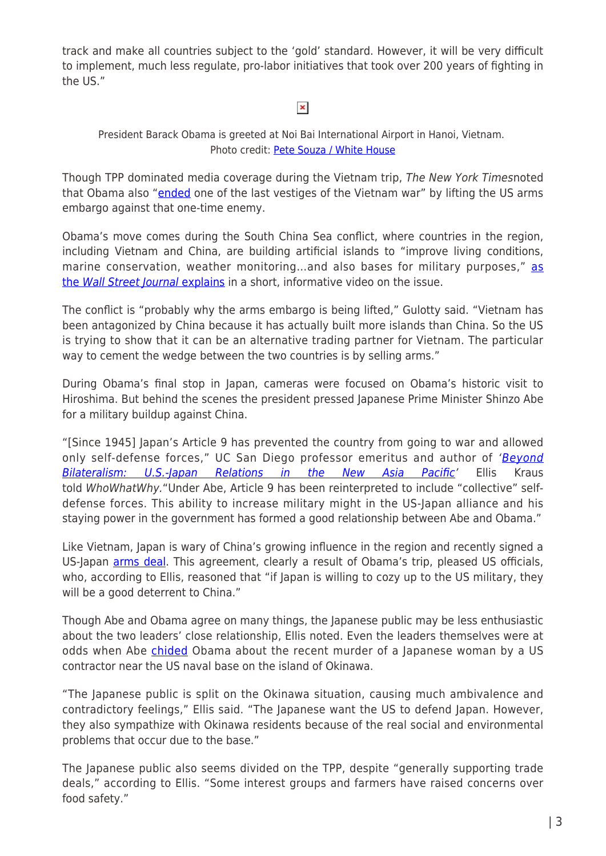track and make all countries subject to the 'gold' standard. However, it will be very difficult to implement, much less regulate, pro-labor initiatives that took over 200 years of fighting in the US."

### $\pmb{\times}$

#### President Barack Obama is greeted at Noi Bai International Airport in Hanoi, Vietnam. Photo credit: [Pete Souza / White House](http://go.wh.gov/behind-the-lens)

Though TPP dominated media coverage during the Vietnam trip, The New York Timesnoted that Obama also ["ended](http://www.nytimes.com/2016/05/24/world/asia/vietnam-us-arms-embargo-obama.html) one of the last vestiges of the Vietnam war" by lifting the US arms embargo against that one-time enemy.

Obama's move comes during the South China Sea conflict, where countries in the region, including Vietnam and China, are building artificial islands to "improve living conditions, marine conservation, weather monitoring...and also bases for military purposes," [as](https://www.youtube.com/watch?v=oVUg4N_lelk) [the](https://www.youtube.com/watch?v=oVUg4N_lelk) [Wall Street Journal](https://www.youtube.com/watch?v=oVUg4N_lelk) [explains](https://www.youtube.com/watch?v=oVUg4N_lelk) in a short, informative video on the issue.

The conflict is "probably why the arms embargo is being lifted," Gulotty said. "Vietnam has been antagonized by China because it has actually built more islands than China. So the US is trying to show that it can be an alternative trading partner for Vietnam. The particular way to cement the wedge between the two countries is by selling arms."

During Obama's final stop in Japan, cameras were focused on Obama's historic visit to Hiroshima. But behind the scenes the president pressed Japanese Prime Minister Shinzo Abe for a military buildup against China.

"[Since 1945] Japan's Article 9 has prevented the country from going to war and allowed only self-defense forces," UC San Diego professor emeritus and author of '[Beyond](https://books.google.com/books/about/Beyond_Bilateralism.html?id=NJD8ZLnbGMkC) [Bilateralism: U.S.-Japan Relations in the New Asia Pacific](https://books.google.com/books/about/Beyond_Bilateralism.html?id=NJD8ZLnbGMkC)' Ellis Kraus told WhoWhatWhy."Under Abe, Article 9 has been reinterpreted to include "collective" selfdefense forces. This ability to increase military might in the US-Japan alliance and his staying power in the government has formed a good relationship between Abe and Obama."

Like Vietnam, Japan is wary of China's growing influence in the region and recently signed a US-Japan [arms deal.](http://breakingdefense.com/2016/06/us-japan-sign-arms-trade-pact-missile-defense-co-production-more/) This agreement, clearly a result of Obama's trip, pleased US officials, who, according to Ellis, reasoned that "if Japan is willing to cozy up to the US military, they will be a good deterrent to China."

Though Abe and Obama agree on many things, the Japanese public may be less enthusiastic about the two leaders' close relationship, Ellis noted. Even the leaders themselves were at odds when Abe [chided](http://abcnews.go.com/Politics/president-obama-expresses-deepest-regrets-death-woman-okinawa/story?id=39365622) Obama about the recent murder of a Japanese woman by a US contractor near the US naval base on the island of Okinawa.

"The Japanese public is split on the Okinawa situation, causing much ambivalence and contradictory feelings," Ellis said. "The Japanese want the US to defend Japan. However, they also sympathize with Okinawa residents because of the real social and environmental problems that occur due to the base."

The Japanese public also seems divided on the TPP, despite "generally supporting trade deals," according to Ellis. "Some interest groups and farmers have raised concerns over food safety."